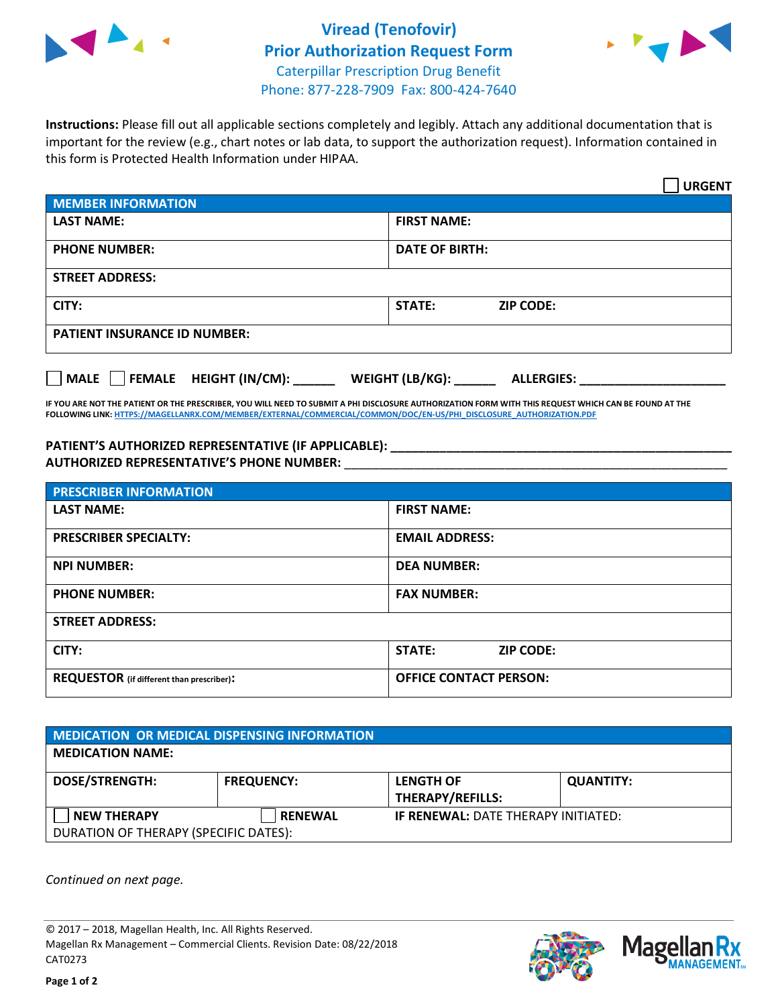

## **Viread (Tenofovir) Prior Authorization Request Form** Caterpillar Prescription Drug Benefit Phone: 877-228-7909 Fax: 800-424-7640



**Instructions:** Please fill out all applicable sections completely and legibly. Attach any additional documentation that is important for the review (e.g., chart notes or lab data, to support the authorization request). Information contained in this form is Protected Health Information under HIPAA.

|                                     | <b>URGENT</b>                        |  |  |  |
|-------------------------------------|--------------------------------------|--|--|--|
| <b>MEMBER INFORMATION</b>           |                                      |  |  |  |
| <b>LAST NAME:</b>                   | <b>FIRST NAME:</b>                   |  |  |  |
| <b>PHONE NUMBER:</b>                | <b>DATE OF BIRTH:</b>                |  |  |  |
| <b>STREET ADDRESS:</b>              |                                      |  |  |  |
| CITY:                               | STATE:<br><b>ZIP CODE:</b>           |  |  |  |
| <b>PATIENT INSURANCE ID NUMBER:</b> |                                      |  |  |  |
| FEMALE HEIGHT (IN/CM):<br>    MALE  | WEIGHT (LB/KG):<br><b>ALLERGIES:</b> |  |  |  |

**IF YOU ARE NOT THE PATIENT OR THE PRESCRIBER, YOU WILL NEED TO SUBMIT A PHI DISCLOSURE AUTHORIZATION FORM WITH THIS REQUEST WHICH CAN BE FOUND AT THE FOLLOWING LINK[: HTTPS://MAGELLANRX.COM/MEMBER/EXTERNAL/COMMERCIAL/COMMON/DOC/EN-US/PHI\\_DISCLOSURE\\_AUTHORIZATION.PDF](https://magellanrx.com/member/external/commercial/common/doc/en-us/PHI_Disclosure_Authorization.pdf)**

PATIENT'S AUTHORIZED REPRESENTATIVE (IF APPLICABLE): **AUTHORIZED REPRESENTATIVE'S PHONE NUMBER:** \_\_\_\_\_\_\_\_\_\_\_\_\_\_\_\_\_\_\_\_\_\_\_\_\_\_\_\_\_\_\_\_\_\_\_\_\_\_\_\_\_\_\_\_\_\_\_\_\_\_\_\_\_\_\_

| <b>PRESCRIBER INFORMATION</b>             |                                   |  |  |
|-------------------------------------------|-----------------------------------|--|--|
| <b>LAST NAME:</b>                         | <b>FIRST NAME:</b>                |  |  |
| <b>PRESCRIBER SPECIALTY:</b>              | <b>EMAIL ADDRESS:</b>             |  |  |
| <b>NPI NUMBER:</b>                        | <b>DEA NUMBER:</b>                |  |  |
| <b>PHONE NUMBER:</b>                      | <b>FAX NUMBER:</b>                |  |  |
| <b>STREET ADDRESS:</b>                    |                                   |  |  |
| CITY:                                     | <b>STATE:</b><br><b>ZIP CODE:</b> |  |  |
| REQUESTOR (if different than prescriber): | <b>OFFICE CONTACT PERSON:</b>     |  |  |

| <b>MEDICATION OR MEDICAL DISPENSING INFORMATION</b> |                   |                                             |                  |  |  |
|-----------------------------------------------------|-------------------|---------------------------------------------|------------------|--|--|
| <b>MEDICATION NAME:</b>                             |                   |                                             |                  |  |  |
| <b>DOSE/STRENGTH:</b>                               | <b>FREQUENCY:</b> | <b>LENGTH OF</b><br><b>THERAPY/REFILLS:</b> | <b>QUANTITY:</b> |  |  |
| <b>NEW THERAPY</b>                                  | <b>RENEWAL</b>    | <b>IF RENEWAL: DATE THERAPY INITIATED:</b>  |                  |  |  |
| DURATION OF THERAPY (SPECIFIC DATES):               |                   |                                             |                  |  |  |

*Continued on next page.*

© 2017 – 2018, Magellan Health, Inc. All Rights Reserved. Magellan Rx Management – Commercial Clients. Revision Date: 08/22/2018 CAT0273



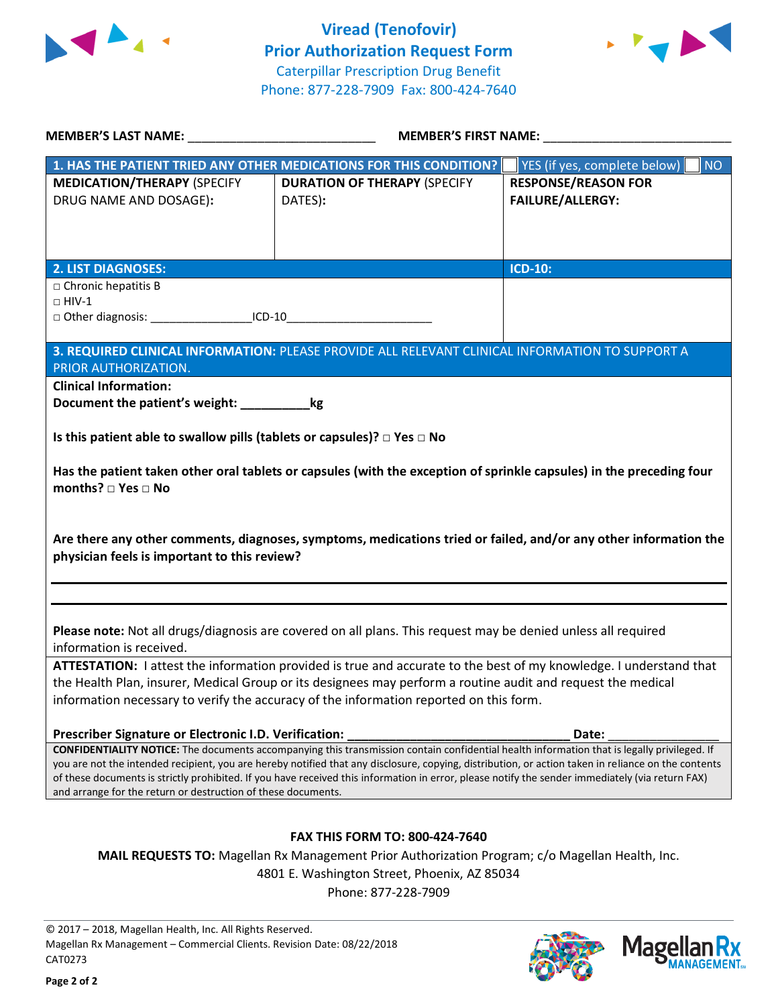



| MEMBER'S LAST NAME: NAME                                                                                                                                                                                          | <b>MEMBER'S FIRST NAME:</b>                                                                                                                 |                                    |  |  |
|-------------------------------------------------------------------------------------------------------------------------------------------------------------------------------------------------------------------|---------------------------------------------------------------------------------------------------------------------------------------------|------------------------------------|--|--|
| 1. HAS THE PATIENT TRIED ANY OTHER MEDICATIONS FOR THIS CONDITION?                                                                                                                                                |                                                                                                                                             | YES (if yes, complete below)<br>NO |  |  |
| <b>MEDICATION/THERAPY (SPECIFY</b>                                                                                                                                                                                | <b>DURATION OF THERAPY (SPECIFY</b>                                                                                                         | <b>RESPONSE/REASON FOR</b>         |  |  |
| DRUG NAME AND DOSAGE):                                                                                                                                                                                            | DATES):                                                                                                                                     | <b>FAILURE/ALLERGY:</b>            |  |  |
|                                                                                                                                                                                                                   |                                                                                                                                             |                                    |  |  |
|                                                                                                                                                                                                                   |                                                                                                                                             |                                    |  |  |
| 2. LIST DIAGNOSES:                                                                                                                                                                                                |                                                                                                                                             | <b>ICD-10:</b>                     |  |  |
| $\Box$ Chronic hepatitis B                                                                                                                                                                                        |                                                                                                                                             |                                    |  |  |
| $\Box$ HIV-1<br>□ Other diagnosis: _______________________ICD-10                                                                                                                                                  |                                                                                                                                             |                                    |  |  |
|                                                                                                                                                                                                                   |                                                                                                                                             |                                    |  |  |
|                                                                                                                                                                                                                   | 3. REQUIRED CLINICAL INFORMATION: PLEASE PROVIDE ALL RELEVANT CLINICAL INFORMATION TO SUPPORT A                                             |                                    |  |  |
| PRIOR AUTHORIZATION.                                                                                                                                                                                              |                                                                                                                                             |                                    |  |  |
| <b>Clinical Information:</b>                                                                                                                                                                                      |                                                                                                                                             |                                    |  |  |
| Document the patient's weight: ____________kg                                                                                                                                                                     |                                                                                                                                             |                                    |  |  |
| Is this patient able to swallow pills (tablets or capsules)? $\Box$ Yes $\Box$ No                                                                                                                                 |                                                                                                                                             |                                    |  |  |
|                                                                                                                                                                                                                   |                                                                                                                                             |                                    |  |  |
| Has the patient taken other oral tablets or capsules (with the exception of sprinkle capsules) in the preceding four<br>months? $\Box$ Yes $\Box$ No                                                              |                                                                                                                                             |                                    |  |  |
|                                                                                                                                                                                                                   |                                                                                                                                             |                                    |  |  |
|                                                                                                                                                                                                                   | Are there any other comments, diagnoses, symptoms, medications tried or failed, and/or any other information the                            |                                    |  |  |
| physician feels is important to this review?                                                                                                                                                                      |                                                                                                                                             |                                    |  |  |
|                                                                                                                                                                                                                   |                                                                                                                                             |                                    |  |  |
|                                                                                                                                                                                                                   |                                                                                                                                             |                                    |  |  |
|                                                                                                                                                                                                                   | Please note: Not all drugs/diagnosis are covered on all plans. This request may be denied unless all required                               |                                    |  |  |
| information is received.                                                                                                                                                                                          |                                                                                                                                             |                                    |  |  |
| ATTESTATION: I attest the information provided is true and accurate to the best of my knowledge. I understand that                                                                                                |                                                                                                                                             |                                    |  |  |
| the Health Plan, insurer, Medical Group or its designees may perform a routine audit and request the medical                                                                                                      |                                                                                                                                             |                                    |  |  |
| information necessary to verify the accuracy of the information reported on this form.                                                                                                                            |                                                                                                                                             |                                    |  |  |
| Prescriber Signature or Electronic I.D. Verification:                                                                                                                                                             |                                                                                                                                             | Date:                              |  |  |
|                                                                                                                                                                                                                   | CONFIDENTIALITY NOTICE: The documents accompanying this transmission contain confidential health information that is legally privileged. If |                                    |  |  |
| you are not the intended recipient, you are hereby notified that any disclosure, copying, distribution, or action taken in reliance on the contents                                                               |                                                                                                                                             |                                    |  |  |
| of these documents is strictly prohibited. If you have received this information in error, please notify the sender immediately (via return FAX)<br>and arrange for the return or destruction of these documents. |                                                                                                                                             |                                    |  |  |
|                                                                                                                                                                                                                   |                                                                                                                                             |                                    |  |  |
|                                                                                                                                                                                                                   |                                                                                                                                             |                                    |  |  |
| <b>FAX THIS FORM TO: 800-424-7640</b><br>MAIL REQUESTS TO: Magellan Rx Management Prior Authorization Program; c/o Magellan Health, Inc.                                                                          |                                                                                                                                             |                                    |  |  |
| 4801 E. Washington Street, Phoenix, AZ 85034                                                                                                                                                                      |                                                                                                                                             |                                    |  |  |
|                                                                                                                                                                                                                   | Phone: 877-228-7909                                                                                                                         |                                    |  |  |
|                                                                                                                                                                                                                   |                                                                                                                                             |                                    |  |  |

© 2017 – 2018, Magellan Health, Inc. All Rights Reserved. Magellan Rx Management – Commercial Clients. Revision Date: 08/22/2018 CAT0273